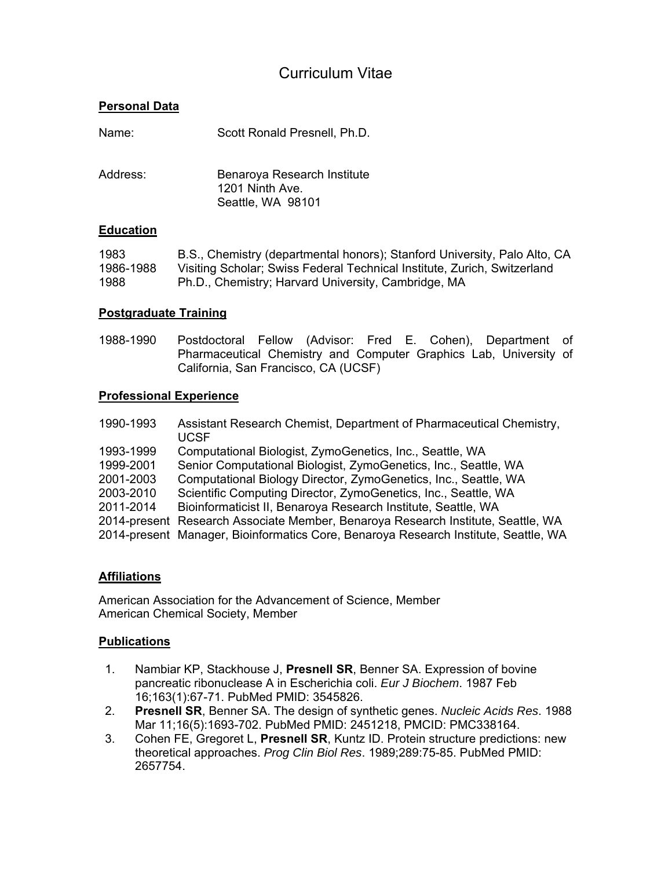# Curriculum Vitae

# **Personal Data**

| Name:    | Scott Ronald Presnell, Ph.D.                                        |
|----------|---------------------------------------------------------------------|
| Address: | Benaroya Research Institute<br>1201 Ninth Ave.<br>Seattle, WA 98101 |
|          |                                                                     |

#### **Education**

| 1983      | B.S., Chemistry (departmental honors); Stanford University, Palo Alto, CA |
|-----------|---------------------------------------------------------------------------|
| 1986-1988 | Visiting Scholar; Swiss Federal Technical Institute, Zurich, Switzerland  |
| 1988      | Ph.D., Chemistry; Harvard University, Cambridge, MA                       |

#### **Postgraduate Training**

1988-1990 Postdoctoral Fellow (Advisor: Fred E. Cohen), Department of Pharmaceutical Chemistry and Computer Graphics Lab, University of California, San Francisco, CA (UCSF)

#### **Professional Experience**

| Assistant Research Chemist, Department of Pharmaceutical Chemistry,<br><b>UCSF</b>  |
|-------------------------------------------------------------------------------------|
| Computational Biologist, ZymoGenetics, Inc., Seattle, WA                            |
| Senior Computational Biologist, ZymoGenetics, Inc., Seattle, WA                     |
| Computational Biology Director, ZymoGenetics, Inc., Seattle, WA                     |
| Scientific Computing Director, ZymoGenetics, Inc., Seattle, WA                      |
| Bioinformaticist II, Benaroya Research Institute, Seattle, WA                       |
| 2014-present Research Associate Member, Benaroya Research Institute, Seattle, WA    |
| 2014-present Manager, Bioinformatics Core, Benaroya Research Institute, Seattle, WA |
|                                                                                     |

## **Affiliations**

American Association for the Advancement of Science, Member American Chemical Society, Member

#### **Publications**

- 1. Nambiar KP, Stackhouse J, **Presnell SR**, Benner SA. Expression of bovine pancreatic ribonuclease A in Escherichia coli. *Eur J Biochem*. 1987 Feb 16;163(1):67-71. PubMed PMID: 3545826.
- 2. **Presnell SR**, Benner SA. The design of synthetic genes. *Nucleic Acids Res*. 1988 Mar 11;16(5):1693-702. PubMed PMID: 2451218, PMCID: PMC338164.
- 3. Cohen FE, Gregoret L, **Presnell SR**, Kuntz ID. Protein structure predictions: new theoretical approaches. *Prog Clin Biol Res*. 1989;289:75-85. PubMed PMID: 2657754.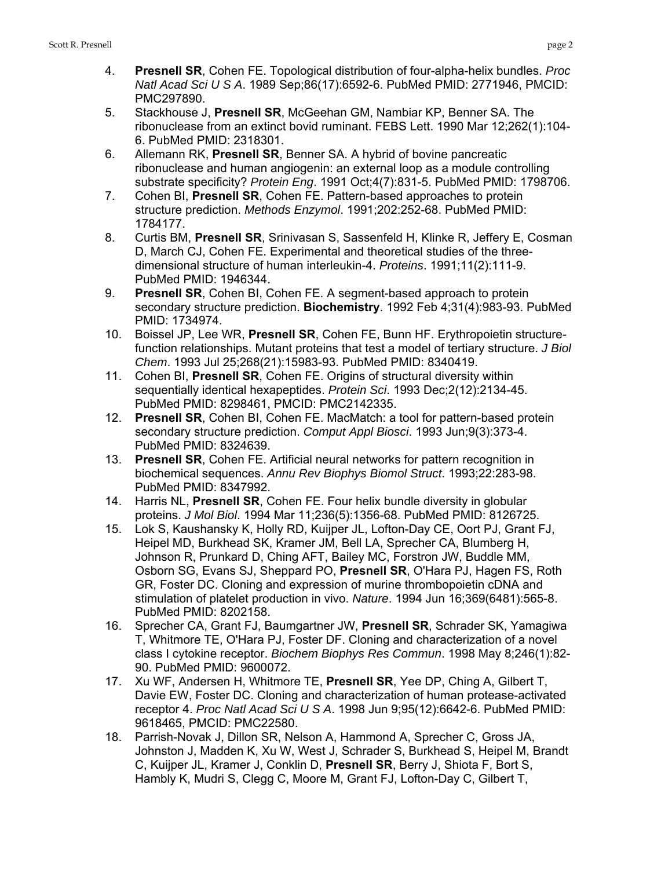- 5. Stackhouse J, **Presnell SR**, McGeehan GM, Nambiar KP, Benner SA. The ribonuclease from an extinct bovid ruminant. FEBS Lett. 1990 Mar 12;262(1):104- 6. PubMed PMID: 2318301.
- 6. Allemann RK, **Presnell SR**, Benner SA. A hybrid of bovine pancreatic ribonuclease and human angiogenin: an external loop as a module controlling substrate specificity? *Protein Eng*. 1991 Oct;4(7):831-5. PubMed PMID: 1798706.
- 7. Cohen BI, **Presnell SR**, Cohen FE. Pattern-based approaches to protein structure prediction. *Methods Enzymol*. 1991;202:252-68. PubMed PMID: 1784177.
- 8. Curtis BM, **Presnell SR**, Srinivasan S, Sassenfeld H, Klinke R, Jeffery E, Cosman D, March CJ, Cohen FE. Experimental and theoretical studies of the threedimensional structure of human interleukin-4. *Proteins*. 1991;11(2):111-9. PubMed PMID: 1946344.
- 9. **Presnell SR**, Cohen BI, Cohen FE. A segment-based approach to protein secondary structure prediction. **Biochemistry**. 1992 Feb 4;31(4):983-93. PubMed PMID: 1734974.
- 10. Boissel JP, Lee WR, **Presnell SR**, Cohen FE, Bunn HF. Erythropoietin structurefunction relationships. Mutant proteins that test a model of tertiary structure. *J Biol Chem*. 1993 Jul 25;268(21):15983-93. PubMed PMID: 8340419.
- 11. Cohen BI, **Presnell SR**, Cohen FE. Origins of structural diversity within sequentially identical hexapeptides. *Protein Sci*. 1993 Dec;2(12):2134-45. PubMed PMID: 8298461, PMCID: PMC2142335.
- 12. **Presnell SR**, Cohen BI, Cohen FE. MacMatch: a tool for pattern-based protein secondary structure prediction. *Comput Appl Biosci*. 1993 Jun;9(3):373-4. PubMed PMID: 8324639.
- 13. **Presnell SR**, Cohen FE. Artificial neural networks for pattern recognition in biochemical sequences. *Annu Rev Biophys Biomol Struct*. 1993;22:283-98. PubMed PMID: 8347992.
- 14. Harris NL, **Presnell SR**, Cohen FE. Four helix bundle diversity in globular proteins. *J Mol Biol*. 1994 Mar 11;236(5):1356-68. PubMed PMID: 8126725.
- 15. Lok S, Kaushansky K, Holly RD, Kuijper JL, Lofton-Day CE, Oort PJ, Grant FJ, Heipel MD, Burkhead SK, Kramer JM, Bell LA, Sprecher CA, Blumberg H, Johnson R, Prunkard D, Ching AFT, Bailey MC, Forstron JW, Buddle MM, Osborn SG, Evans SJ, Sheppard PO, **Presnell SR**, O'Hara PJ, Hagen FS, Roth GR, Foster DC. Cloning and expression of murine thrombopoietin cDNA and stimulation of platelet production in vivo. *Nature*. 1994 Jun 16;369(6481):565-8. PubMed PMID: 8202158.
- 16. Sprecher CA, Grant FJ, Baumgartner JW, **Presnell SR**, Schrader SK, Yamagiwa T, Whitmore TE, O'Hara PJ, Foster DF. Cloning and characterization of a novel class I cytokine receptor. *Biochem Biophys Res Commun*. 1998 May 8;246(1):82- 90. PubMed PMID: 9600072.
- 17. Xu WF, Andersen H, Whitmore TE, **Presnell SR**, Yee DP, Ching A, Gilbert T, Davie EW, Foster DC. Cloning and characterization of human protease-activated receptor 4. *Proc Natl Acad Sci U S A*. 1998 Jun 9;95(12):6642-6. PubMed PMID: 9618465, PMCID: PMC22580.
- 18. Parrish-Novak J, Dillon SR, Nelson A, Hammond A, Sprecher C, Gross JA, Johnston J, Madden K, Xu W, West J, Schrader S, Burkhead S, Heipel M, Brandt C, Kuijper JL, Kramer J, Conklin D, **Presnell SR**, Berry J, Shiota F, Bort S, Hambly K, Mudri S, Clegg C, Moore M, Grant FJ, Lofton-Day C, Gilbert T,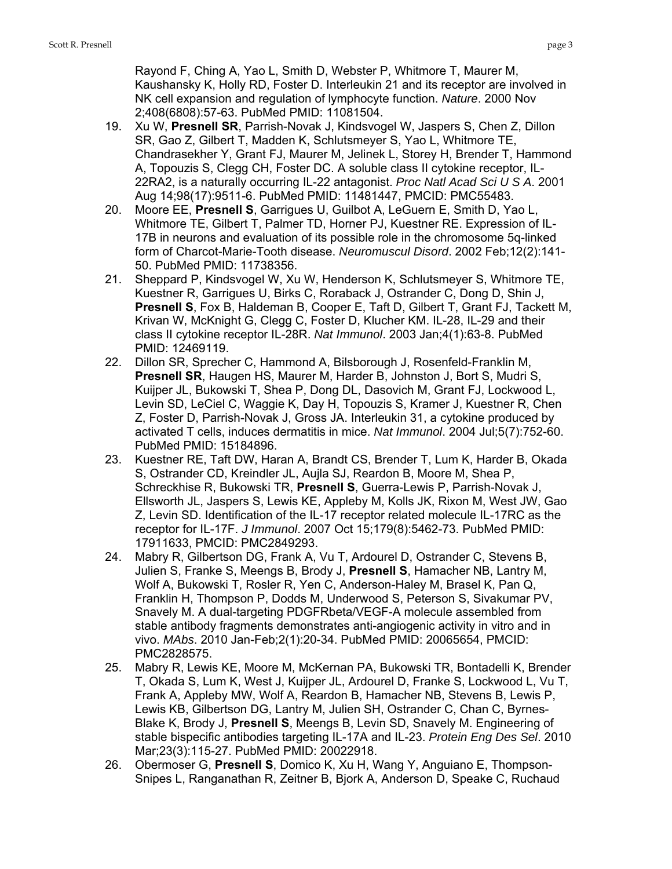Rayond F, Ching A, Yao L, Smith D, Webster P, Whitmore T, Maurer M, Kaushansky K, Holly RD, Foster D. Interleukin 21 and its receptor are involved in NK cell expansion and regulation of lymphocyte function. *Nature*. 2000 Nov 2;408(6808):57-63. PubMed PMID: 11081504.

- 19. Xu W, **Presnell SR**, Parrish-Novak J, Kindsvogel W, Jaspers S, Chen Z, Dillon SR, Gao Z, Gilbert T, Madden K, Schlutsmeyer S, Yao L, Whitmore TE, Chandrasekher Y, Grant FJ, Maurer M, Jelinek L, Storey H, Brender T, Hammond A, Topouzis S, Clegg CH, Foster DC. A soluble class II cytokine receptor, IL-22RA2, is a naturally occurring IL-22 antagonist. *Proc Natl Acad Sci U S A*. 2001 Aug 14;98(17):9511-6. PubMed PMID: 11481447, PMCID: PMC55483.
- 20. Moore EE, **Presnell S**, Garrigues U, Guilbot A, LeGuern E, Smith D, Yao L, Whitmore TE, Gilbert T, Palmer TD, Horner PJ, Kuestner RE. Expression of IL-17B in neurons and evaluation of its possible role in the chromosome 5q-linked form of Charcot-Marie-Tooth disease. *Neuromuscul Disord*. 2002 Feb;12(2):141- 50. PubMed PMID: 11738356.
- 21. Sheppard P, Kindsvogel W, Xu W, Henderson K, Schlutsmeyer S, Whitmore TE, Kuestner R, Garrigues U, Birks C, Roraback J, Ostrander C, Dong D, Shin J, **Presnell S**, Fox B, Haldeman B, Cooper E, Taft D, Gilbert T, Grant FJ, Tackett M, Krivan W, McKnight G, Clegg C, Foster D, Klucher KM. IL-28, IL-29 and their class II cytokine receptor IL-28R. *Nat Immunol*. 2003 Jan;4(1):63-8. PubMed PMID: 12469119.
- 22. Dillon SR, Sprecher C, Hammond A, Bilsborough J, Rosenfeld-Franklin M, **Presnell SR**, Haugen HS, Maurer M, Harder B, Johnston J, Bort S, Mudri S, Kuijper JL, Bukowski T, Shea P, Dong DL, Dasovich M, Grant FJ, Lockwood L, Levin SD, LeCiel C, Waggie K, Day H, Topouzis S, Kramer J, Kuestner R, Chen Z, Foster D, Parrish-Novak J, Gross JA. Interleukin 31, a cytokine produced by activated T cells, induces dermatitis in mice. *Nat Immunol*. 2004 Jul;5(7):752-60. PubMed PMID: 15184896.
- 23. Kuestner RE, Taft DW, Haran A, Brandt CS, Brender T, Lum K, Harder B, Okada S, Ostrander CD, Kreindler JL, Aujla SJ, Reardon B, Moore M, Shea P, Schreckhise R, Bukowski TR, **Presnell S**, Guerra-Lewis P, Parrish-Novak J, Ellsworth JL, Jaspers S, Lewis KE, Appleby M, Kolls JK, Rixon M, West JW, Gao Z, Levin SD. Identification of the IL-17 receptor related molecule IL-17RC as the receptor for IL-17F. *J Immunol*. 2007 Oct 15;179(8):5462-73. PubMed PMID: 17911633, PMCID: PMC2849293.
- 24. Mabry R, Gilbertson DG, Frank A, Vu T, Ardourel D, Ostrander C, Stevens B, Julien S, Franke S, Meengs B, Brody J, **Presnell S**, Hamacher NB, Lantry M, Wolf A, Bukowski T, Rosler R, Yen C, Anderson-Haley M, Brasel K, Pan Q, Franklin H, Thompson P, Dodds M, Underwood S, Peterson S, Sivakumar PV, Snavely M. A dual-targeting PDGFRbeta/VEGF-A molecule assembled from stable antibody fragments demonstrates anti-angiogenic activity in vitro and in vivo. *MAbs*. 2010 Jan-Feb;2(1):20-34. PubMed PMID: 20065654, PMCID: PMC2828575.
- 25. Mabry R, Lewis KE, Moore M, McKernan PA, Bukowski TR, Bontadelli K, Brender T, Okada S, Lum K, West J, Kuijper JL, Ardourel D, Franke S, Lockwood L, Vu T, Frank A, Appleby MW, Wolf A, Reardon B, Hamacher NB, Stevens B, Lewis P, Lewis KB, Gilbertson DG, Lantry M, Julien SH, Ostrander C, Chan C, Byrnes-Blake K, Brody J, **Presnell S**, Meengs B, Levin SD, Snavely M. Engineering of stable bispecific antibodies targeting IL-17A and IL-23. *Protein Eng Des Sel*. 2010 Mar;23(3):115-27. PubMed PMID: 20022918.
- 26. Obermoser G, **Presnell S**, Domico K, Xu H, Wang Y, Anguiano E, Thompson-Snipes L, Ranganathan R, Zeitner B, Bjork A, Anderson D, Speake C, Ruchaud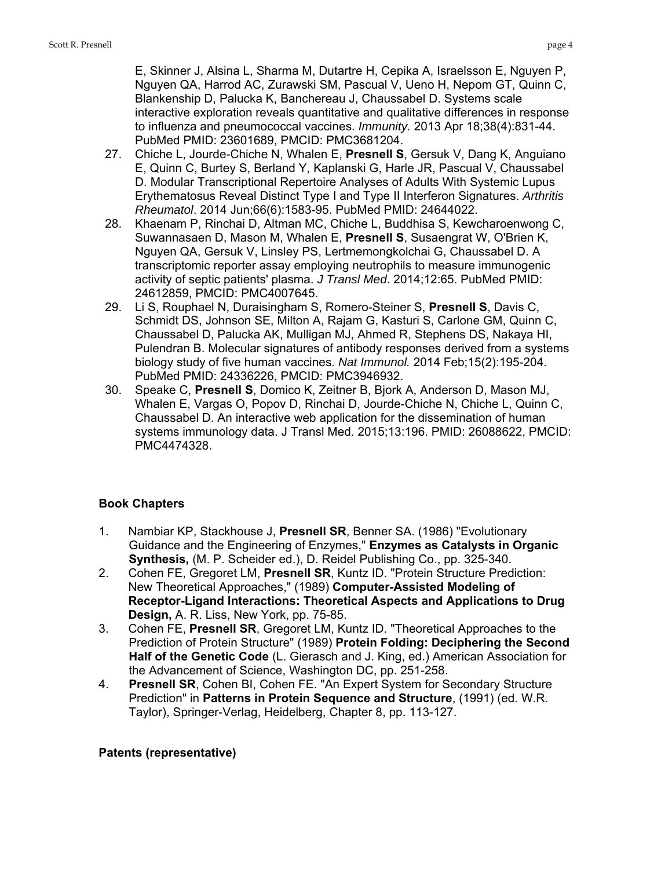E, Skinner J, Alsina L, Sharma M, Dutartre H, Cepika A, Israelsson E, Nguyen P, Nguyen QA, Harrod AC, Zurawski SM, Pascual V, Ueno H, Nepom GT, Quinn C, Blankenship D, Palucka K, Banchereau J, Chaussabel D. Systems scale interactive exploration reveals quantitative and qualitative differences in response to influenza and pneumococcal vaccines. *Immunity.* 2013 Apr 18;38(4):831-44. PubMed PMID: 23601689, PMCID: PMC3681204.

- 27. Chiche L, Jourde-Chiche N, Whalen E, **Presnell S**, Gersuk V, Dang K, Anguiano E, Quinn C, Burtey S, Berland Y, Kaplanski G, Harle JR, Pascual V, Chaussabel D. Modular Transcriptional Repertoire Analyses of Adults With Systemic Lupus Erythematosus Reveal Distinct Type I and Type II Interferon Signatures. *Arthritis Rheumatol*. 2014 Jun;66(6):1583-95. PubMed PMID: 24644022.
- 28. Khaenam P, Rinchai D, Altman MC, Chiche L, Buddhisa S, Kewcharoenwong C, Suwannasaen D, Mason M, Whalen E, **Presnell S**, Susaengrat W, O'Brien K, Nguyen QA, Gersuk V, Linsley PS, Lertmemongkolchai G, Chaussabel D. A transcriptomic reporter assay employing neutrophils to measure immunogenic activity of septic patients' plasma. *J Transl Med*. 2014;12:65. PubMed PMID: 24612859, PMCID: PMC4007645.
- 29. Li S, Rouphael N, Duraisingham S, Romero-Steiner S, **Presnell S**, Davis C, Schmidt DS, Johnson SE, Milton A, Rajam G, Kasturi S, Carlone GM, Quinn C, Chaussabel D, Palucka AK, Mulligan MJ, Ahmed R, Stephens DS, Nakaya HI, Pulendran B. Molecular signatures of antibody responses derived from a systems biology study of five human vaccines. *Nat Immunol.* 2014 Feb;15(2):195-204. PubMed PMID: 24336226, PMCID: PMC3946932.
- 30. Speake C, **Presnell S**, Domico K, Zeitner B, Bjork A, Anderson D, Mason MJ, Whalen E, Vargas O, Popov D, Rinchai D, Jourde-Chiche N, Chiche L, Quinn C, Chaussabel D. An interactive web application for the dissemination of human systems immunology data. J Transl Med. 2015;13:196. PMID: 26088622, PMCID: PMC4474328.

# **Book Chapters**

- 1. Nambiar KP, Stackhouse J, **Presnell SR**, Benner SA. (1986) "Evolutionary Guidance and the Engineering of Enzymes," **Enzymes as Catalysts in Organic Synthesis,** (M. P. Scheider ed.), D. Reidel Publishing Co., pp. 325-340.
- 2. Cohen FE, Gregoret LM, **Presnell SR**, Kuntz ID. "Protein Structure Prediction: New Theoretical Approaches," (1989) **Computer-Assisted Modeling of Receptor-Ligand Interactions: Theoretical Aspects and Applications to Drug Design,** A. R. Liss, New York, pp. 75-85.
- 3. Cohen FE, **Presnell SR**, Gregoret LM, Kuntz ID. "Theoretical Approaches to the Prediction of Protein Structure" (1989) **Protein Folding: Deciphering the Second Half of the Genetic Code** (L. Gierasch and J. King, ed.) American Association for the Advancement of Science, Washington DC, pp. 251-258.
- 4. **Presnell SR**, Cohen BI, Cohen FE. "An Expert System for Secondary Structure Prediction" in **Patterns in Protein Sequence and Structure**, (1991) (ed. W.R. Taylor), Springer-Verlag, Heidelberg, Chapter 8, pp. 113-127.

## **Patents (representative)**